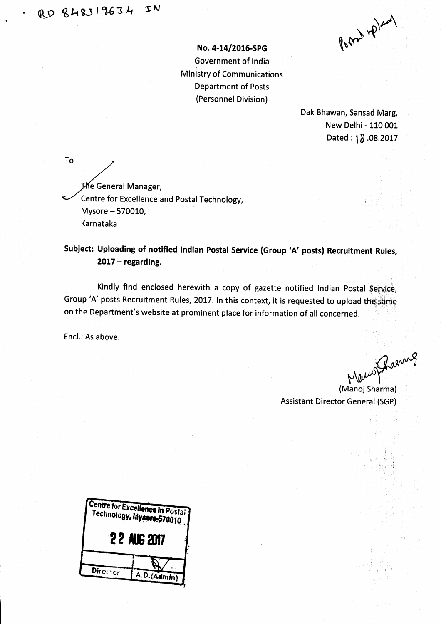No. 4-14/2016-SPG Government of India t **Ministry of Communications** Department of Posts (Personnel Division)

 $8042 40^{201}$ 

Dak Bhawan, Sansad Marg, New Delhi - 110 001 Dated:  $\sqrt{0.08.2017}$ 

To **The General Manager,** Centre for Excellence and Postal Technology, Mysore - 570010, Karnataka :

Subject: Uploading of notified Indian Postal Service (Group'A' posts) Recruitment Rules,  $2017 -$  regarding.

Kindly find enclosed herewith a copy of gazette notified Indian Postal Service, Group 'A' posts Recruitment Rules, 2017. In this context, it is requested to upload the same on the Department's website at prominent place for information of all concerned.

Encl.: As above.

(Manoj Sharma)

Assistant Director General (SGP)

| Centre for Excellence In Postal<br>Technology, Mysere-570010 |             |  |
|--------------------------------------------------------------|-------------|--|
| <b>22 AUG 2017</b>                                           |             |  |
|                                                              |             |  |
| Director                                                     | A.D.(Admin) |  |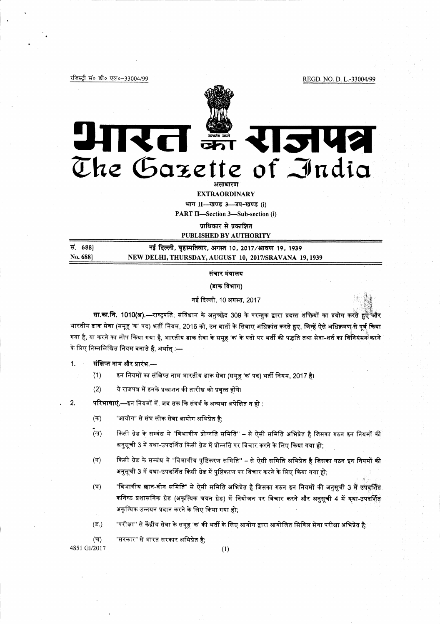रजिस्ट्री सं० डी० एल०-33004/99

REGD. NO. D. L.-33004/99



# भारत इन राजपत्र The Gazette of India असाधारण

**EXTRAORDINARY** 

भाग II- खण्ड 3-उप-खण्ड (i)

PART II-Section 3-Sub-section (i)

प्राधिकार से प्रकाशित

PUBLISHED BY AUTHORITY

| स | 688)     |
|---|----------|
|   | No. 688] |

नई दिल्ली, बृहस्पतिवार, अगस्त 10, 2017/श्रावण 19, 1939 NEW DELHI, THURSDAY, AUGUST 10, 2017/SRAVANA 19, 1939

संचार मंत्रालय

(डाक विभाग)

नई दिल्ली, 10 अगस्त, 2017

सा.का.नि. 1010(अ).—राष्ट्रपति, संविधान के अनुच्छेद 309 के परन्तुक द्वारा प्रदत्त शक्तियों का प्रयोग करते हुए और भारतीय डाक सेवा (समूह 'क' पद) भर्ती नियम, 2016 को, उन बातों के सिवाए अधिक्रांत करते हुए, जिन्हें ऐसे अधिक्रमण से पूर्व किया गया है, या करने का लोप किया गया है, भारतीय डाक सेवा के समूह 'क' के पदों पर भर्ती की पद्धति तथा सेवा-शर्त का विनियमन करने के लिए निम्नलिखित नियम बनाते हैं, अर्थात् :—

संक्षिप्त नाम और प्रारंभ.—  $1.$ 

> $(1)$ इन नियमों का संक्षिप्त नाम भारतीय डाक सेवा (समूह 'क' पद) भर्ती नियम, 2017 है।

 $(2)$ ये राजपत्र में इनके प्रकाशन की तारीख को प्रवृत्त होंगे।

 $2.$ परिभाषाएं.—इन नियमों में, जब तक कि संदर्भ के अन्यथा अपेक्षित न हो :

- "आयोग" से संघ लोक सेवा आयोग अभिप्रेत है:  $($ क)
- (ख) किसी ग्रेड के सम्बंध मे "विभागीय प्रोन्नति समिति" - से ऐसी समिति अभिप्रेत है जिसका गठन इन नियमों की अनुसूची 3 में यथा-उपदर्शित किसी ग्रेड में प्रोन्नति पर विचार करने के लिए किया गया हो;
- $(T)$ किसी ग्रेड के सम्बंध मे "विभागीय पुष्टिकरण समिति" – से ऐसी समिति अभिप्रेत है जिसका गठन इन नियमों की अनुसूची 3 में यथा-उपदर्शित किसी ग्रेड में पुष्टिकरण पर विचार करने के लिए किया गया हो;
- "विभागीय छान-बीन समिति" से ऐसी समिति अभिप्रेत है जिसका गठन इन नियमों की अनुसूची 3 में उपदर्शित (घ) कनिष्ठ प्रशासनिक ग्रेड (अकृत्यिक चयन ग्रेड) में नियोजन पर विचार करने और अनुसूची 4 में यथा-उपदर्शित अकृत्यिक उन्नयन प्रदान करने के लिए किया गया हो;

"परीक्षा" से केंद्रीय सेवा के समूह 'क' की भर्ती के लिए आयोग द्वारा आयोजित सिविल सेवा परीक्षा अभिप्रेत है;  $(\overline{s})$ 

 $($ च) "सरकार" से भारत सरकार अभिप्रेत है:

4851 GI/2017

 $(1)$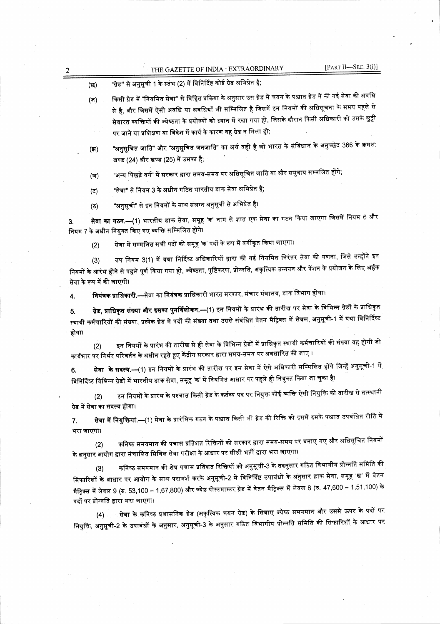|                   |                           | [PART II-SEC. $3(i)$ ]<br>THE GAZETTE OF INDIA : EXTRAORDINARY                                                                                                                                                                                                                                                                                                                                                                                                                                                   |
|-------------------|---------------------------|------------------------------------------------------------------------------------------------------------------------------------------------------------------------------------------------------------------------------------------------------------------------------------------------------------------------------------------------------------------------------------------------------------------------------------------------------------------------------------------------------------------|
|                   | (ন্ত                      | "ग्रेड" से अनुसूची 1 के स्तंभ (2) में विनिर्दिष्ट कोई ग्रेड अभिप्रेत है;                                                                                                                                                                                                                                                                                                                                                                                                                                         |
|                   | (ज)                       | किसी ग्रेड में "नियमित सेवा'' से विहित प्रक्रिया के अनुसार उस ग्रेड में चयन के पश्चात ग्रेड में की गई सेवा की अवधि<br>से है, और जिसमें ऐसी अवधि या अवधियाँ भी सम्मिलित है जिसमें इन नियमों की अधिसूचना के समय पहले से<br>सेवारत व्यक्तियों की ज्येष्ठता के प्रयोज्यों को ध्यान में रखा गया हो, जिसके दौरान किसी अधिकारी को उसके छुट्टी<br>पर जाने या प्रशिक्षण या विदेश में कार्य के कारण वह ग्रेड न मिला हो;                                                                                                    |
|                   | (ল)                       | "अनुसूचित जाति" और "अनुसूचित जनजाति" का अर्थ वही है जो भारत के संविधान के अनुच्छेद 366 के क्रमश:<br>खण्ड (24) और खण्ड (25) में उसका है;                                                                                                                                                                                                                                                                                                                                                                          |
|                   | (স)                       | "अन्य पिछड़े वर्ग" में सरकार द्वारा समय-समय पर अधिसूचित जाति या और समुदाय सम्मलित होंगे;                                                                                                                                                                                                                                                                                                                                                                                                                         |
|                   | (5)                       | "सेवा" से नियम 3 के अधीन गठित भारतीय डाक सेवा अभिप्रेत है;                                                                                                                                                                                                                                                                                                                                                                                                                                                       |
|                   | (ত)                       | "अनुसूची" से इन नियमों के साथ संलग्न अनुसूची से अभिप्रेत है।                                                                                                                                                                                                                                                                                                                                                                                                                                                     |
| 3.                |                           | <b>सेवा का गठन.—(</b> 1) भारतीय डाक सेवा, समूह 'क' नाम से ज्ञात एक सेवा का गठन किया जाएगा जिसमें नियम 6 और<br>नियम 7 के अधीन नियुक्त किए गए व्यक्ति सम्मिलित होंगे।                                                                                                                                                                                                                                                                                                                                              |
|                   | (2)                       | सेवा में सम्मलित सभी पदों को समूह 'क' पदों के रूप में वर्गीकृत किया जाएगा।                                                                                                                                                                                                                                                                                                                                                                                                                                       |
|                   |                           | उप नियम 3(1) में यथा निर्दिष्ट अधिकारियों द्वारा की गई नियमित निरंतर सेवा की गणना, जिसे उन्होंने इन<br>नियमों के आरंभ होने से पहले पूर्ण किया गया हो, ज्येष्ठता, पुष्टिकरण, प्रोन्नति, अकृत्यिक उन्नयन और पेंशन के प्रयोजन के लिए अर्हक                                                                                                                                                                                                                                                                          |
|                   | सेवा के रूप में की जाएगी। |                                                                                                                                                                                                                                                                                                                                                                                                                                                                                                                  |
| 4.<br>5.<br>होगा। |                           | नियंत्रक प्राधिकारी.—सेवा का नियंत्रक प्राधिकारी भारत सरकार, संचार मंत्रालय, डाक विभाग होगा।<br>ग्रेड, प्राधिकृत संख्या और इसका पुनर्विलोकन.—(1) इन नियमों के प्रारंभ की तारीख पर सेवा के विभिन्न ग्रेडों के प्राधिकृत<br>स्थायी कर्मचारियों की संख्या, प्रत्येक ग्रेड मे पदों की संख्या तथा उससे संबंधित वेतन मैट्रिक्स में लेवल, अनुसूची-1 में यथा विनिर्दिष्ट                                                                                                                                                 |
|                   | (2)                       | इन नियमों के प्रारंभ की तारीख से ही सेवा के विभिन्न ग्रेडों में प्राधिकृत स्थायी कर्मचारियों की संख्या वह होगी जो<br>कार्यभार पर निर्भर परिवर्तन के अधीन रहते हुए केंद्रीय सरकार द्वारा समय-समय पर अवधारित की जाए ।                                                                                                                                                                                                                                                                                              |
|                   |                           | <b>सेवा  के सदस्य.—(1)</b> इन नियमों के प्रारंभ की तारीख पर इस सेवा में ऐसे अधिकारी सम्मिलित होंगे जिन्हें अनुसूची-1 में<br>विनिर्दिष्ट विभिन्न ग्रेडों में भारतीय डाक सेवा, समूह 'क' में नियमित आधार पर पहले ही नियुक्त किया जा चुका है।                                                                                                                                                                                                                                                                        |
|                   | (2)                       | इन नियमों के प्रारंभ के पश्चात किसी ग्रेड के कर्तव्य पद पर नियुक्त कोई व्यक्ति ऐसी नियुक्ति की तारीख से तत्स्थानी<br>ग्रेड में सेवा का सदस्य होगा।                                                                                                                                                                                                                                                                                                                                                               |
|                   | भरा जाएगा।                | <b>सेवा में नियुक्तियां.—(</b> 1) सेवा के प्रारंभिक गठन के पश्चात किसी भी ग्रेड की रिक्ति को इसमें इसके पश्चात उपबंधित रीति में                                                                                                                                                                                                                                                                                                                                                                                  |
|                   | (2)                       | कनिष्ठ समयमान की पचास प्रतिशत रिक्तियों को सरकार द्वारा समय-समय पर बनाए गए और अधिसूचित नियमों<br>के अनुसार आयोग द्वारा संचालित सिविल सेवा परीक्षा के आधार पर सीधी भर्ती द्वारा भरा जाएगा।                                                                                                                                                                                                                                                                                                                        |
| 6.<br>7.          | (3)                       | कनिष्ठ समयमान की शेष पचास प्रतिशत रिक्तियों को अनुसूची-3 के तदनुसार गठित विभागीय प्रोन्नति समिति की<br>सिफारिशों के आधार पर आयोग के साथ परामर्श करके अनुसूची-2 में विनिर्दिष्ट उपाबंधों के अनुसार डाक सेवा, समूह 'ख' में वेतन<br>मैट्रिक्स में लेवल 9 (रु. 53,100 – 1,67,800) और ज्येष्ठ पोस्टमास्टर ग्रेड में वेतन मैट्रिक्स में लेवल 8 (रु. 47,600 – 1,51,100) के<br>पदों पर प्रोन्नति द्वारा भरा जाएगा।<br>सेवा के कनिष्ठ प्रशासनिक ग्रेड (अकृत्यिक चयन ग्रेड) के सिवाए ज्येष्ठ समयमान और उससे ऊपर के पदों पर |

 $\frac{1}{2} \left( \frac{1}{2} \right)$ 

i<br>Par

 $\sim$   $\sim$ 

 $\label{eq:2.1} \begin{split} \frac{1}{2} \frac{d\mu}{d\tau} & = \frac{1}{2} \frac{d\mu}{d\tau} \frac{d\mu}{d\tau} \,, \end{split}$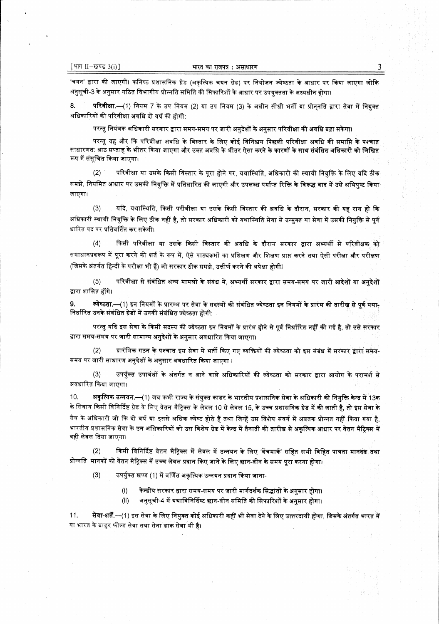'चयन' द्वारा की जाएगी। कनिष्ठ प्रशासनिक ग्रेड (अकृत्यिक चयन ग्रेड) पर नियोजन ज्येष्ठता के आधार पर किया जाएगा जोकि अनुसूची-3 के अनुसार गठित विभागीय प्रोन्नति समिति की सिफारिशों के आधार पर उपयुक्तता के अध्यधीन होगा।

8. परिवीक्षा.—(1) नियम 7 के उप नियम (2) या उप नियम (3) के अधीन सीधी भर्ती या प्रोननति द्वारा सेवा में नियक्त अधिकारियों की परिवीक्षा अवधि दो वर्ष की होगी:

परन्तु नियंत्रक अधिकारी सरकार द्वारा समय-समय पर जारी अनुदेशों के अनुसार परिवीक्षा की अवधि बढ़ा सकेगा।

परन्तु यह और कि परिवीक्षा अवधि के विस्तार के लिए कोई विनिश्चय पिछली परिवीक्षा अवधि की समाप्ति के पश्चात साधारणत: आठ सप्ताह के भीतर किया जाएगा और उक्त अवधि के भीतर ऐसा करने के कारणों के साथ संबंधित अधिकारी को लिखित रूप में संसूचित किया जाएगा।

परिवीक्षा या उसके किसी विस्तार के पूरा होने पर, यथास्थिति, अधिकारी की स्थायी नियुक्ति के लिए यदि ठीक  $(2)$ समझे, नियमित आधार पर उसकी नियुक्ति में प्रतिधारित की जाएगी और उपलब्ध पर्याप्त रिक्ति के विरूद्ध बाद में उसे अभिपुष्ट किया जाएगा।

 $(3)$ यदि, यथास्थिति, किसी परीवीक्षा या उसके किसी विस्तार की अवधि के दौरान, सरकार की यह राय हो कि अधिकारी स्थायी नियुक्ति के लिए ठीक नहीं है, तो सरकार अधिकारी को यथास्थिति सेवा से उन्मुक्त या सेवा में उसकी नियुक्ति से पूर्व धारित पद पर प्रतिवर्तित कर सकेगी।

किसी परिवीक्षा या उसके किसी विस्तार की अवधि के दौरान सरकार द्वारा अभ्यर्थी से परिवीक्षक को  $(4)$ समाधानप्रदरूप में पूरा करने की शर्त के रूप में, ऐसे पाठ्यक्रमों का प्रशिक्षण और शिक्षण प्राप्त करने तथा ऐसी परीक्षा और परीक्षण (जिसके अंतर्गत हिन्दी के परीक्षा भी हैं) जो सरकार ठीक समझे, उत्तीर्ण करने की अपेक्षा होगी।

परिवीक्षा से संबंधित अन्य मामलों के संबंध में, अभ्यर्थी सरकार द्वारा समय-समय पर जारी आदेशों या अनुदेशों  $(5)$ द्वारा शासित होंगे।

9. ज्येष्ठता.—(1) इन नियमों के प्रारम्भ पर सेवा के सदस्यों की संबंधित ज्येष्ठता इन नियमों के प्रारंभ की तारीख से पूर्व यथा-निर्धारित उनके संबंधित ग्रेडों में उनकी संबंधित ज्येष्ठता होगी:

परन्तु यदि इस सेवा के किसी सदस्य की ज्येष्ठता इन नियमों के प्रारंभ होने से पूर्व निर्धारित नहीं की गई है, तो उसे सरकार द्वारा समय-समय पर जारी सामान्य अनुदेशों के अनुसार अवधारित किया जाएगा।

प्रारंभिक गठन के पश्चात इस सेवा में भर्ती किए गए व्यक्तियों की ज्येष्ठता को इस संबंध में सरकार द्वारा समय- $(2)$ समय पर जारी साधारण अनुदेशों के अनुसार अवधारित किया जाएगा ।

उपर्युक्त उपावधों के अंतर्गत न आने वाले अधिकारियों की ज्येष्ठता को सरकार द्वारा आयोग के परामर्श से  $(3)$ अवधारित किया जाएगा।

10. अकृत्यिक उन्नयन.—(1) जब कभी राज्य के संयुक्त काडर के भारतीय प्रशासनिक सेवा के अधिकारी की नियुक्ति केन्द्र में 13क के सिवाय किसी विनिर्दिष्ट ग्रेड के लिए वेतन मैट्रिक्स के लेवल 10 से लेवल 15, के उच्च प्रशासनिक ग्रेड में की जाती है, तो इस सेवा के वैच के अधिकारी जो कि दो वर्ष या इससे अधिक ज्येष्ठ होते हैं तथा जिन्हें उस विशेष संवर्ग में अबतक प्रोन्नत नहीं किया गया है, भारतीय प्रशासनिक सेवा के उन अधिकारियों को उस विशेष ग्रेड में केन्द्र में तैनाती की तारीख से अकृत्यिक आधार पर वेतन मैट्रिक्स में वही लेवल दिया जाएगा।

किसी विनिर्दिष्ट वेतन मैट्रिक्स में लेवल में उन्नयन के लिए 'बेंचमार्क' सहित सभी विहित पात्रता मानदंड तथा  $(2)$ प्रोन्नति मानकों को वेतन मैट्रिक्स में उच्च लेवल प्रदान किए जाने के लिए छान-बीन के समय पूरा करना होगा।

 $(3)$ उपर्युक्त खण्ड (1) में वर्णित अकृत्यिक उन्नयन प्रदान किया जाना-

> केन्द्रीय सरकार द्वारा समय-समय पर जारी मार्गदर्शक सिद्धांतों के अनुसार होगा।  $(i)$

अनुसूची-4 में यथाविनिर्दिष्ट छान-बीन समिति की सिफारिशों के अनुसार होगा।  $(ii)$ 

सेवा-शर्तें.—(1) इस सेवा के लिए नियुक्त कोई अधिकारी कहीं भी सेवा देने के लिए उत्तरदायी होगा, जिसके अंतर्गत भारत में 11. या भारत के बाहर फील्ड सेवा तथा सेना डाक सेवा भी है।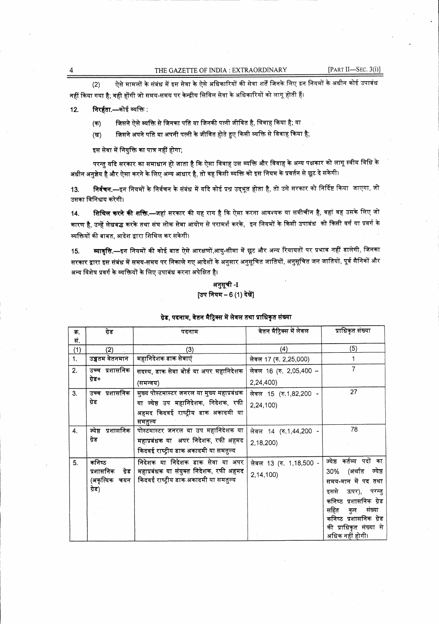ऐसे मामलों के संबंध में इस सेवा के ऐसे अधिकारियों की सेवा शर्तें जिनके लिए इन नियमों के अधीन कोई उपाबंध  $(2)$ नहीं किया गया है; वही होंगी जो समय-समय पर केन्द्रीय सिविल सेवा के अधिकारियों को लागू होती हैं।

निरर्हता.—कोई व्यक्ति :  $12.$ 

> जिसने ऐसे व्यक्ति से जिनका पति या जिनकी पत्नी जीवित है, विवाह किया है; या  $($ क)

जिसने अपने पति या अपनी पत्नी के जीवित होते हुए किसी व्यक्ति से विवाह किया है;  $(\overline{q})$ 

इस सेवा में नियुक्ति का पात्र नहीं होगा;

परन्तु यदि सरकार का समाधान हो जाता है कि ऐसा विवाह उस व्यक्ति और विवाह के अन्य पक्षकार को लागू स्वीय विधि के अधीन अनुज्ञेय है और ऐसा करने के लिए अन्य आधार है, तो वह किसी व्यक्ति को इस नियम के प्रवर्तन से छूट दे सकेगी।

निर्वचन.—इन नियमों के निर्वचन के संबंध में यदि कोई प्रश्न उद्भूत होता है, तो उसे सरकार को निर्दिष्ट किया जाएगा, जो 13. उसका विनिश्चय करेगी।

**शिथिल करने की शक्ति.—ज**हां सरकार की यह राय है कि ऐसा करना आवश्यक या समीचीन है, वहां वह उसके लिए जो 14. कारण है, उन्हें लेखबद्ध करके तथा संघ लोक सेवा आयोग से परामर्श करके, इन नियमों के किसी उपाबंध को किसी वर्ग या प्रवर्ग के व्यक्तियों की बाबत, आदेश द्वारा शिथिल कर सकेगी।

व्यावृत्ति.—इन नियमों की कोई बात ऐसे आरक्षणों,आयु-सीमा में छूट और अन्य रियायतों पर प्रभाव नहीं डालेगी, जिनका 15. सरकार द्वारा इस संबंध में समय-समय पर निकाले गए आदेशों के अनुसार अनुसूचित जातियों, अनुसूचित जन जातियों, पूर्व सैनिकों और अन्य विशेष प्रवर्ग के व्यक्तियों के लिए उपाबंध करना अपेक्षित है।

> अनुसूची -I [उप नियम - 6 (1) देखें]

## ग्रेड, पदनाम, वेतन मैट्रिक्स में लेवल तथा प्राधिकृत संख्या

| क.  | ग्रेड                | पदनाम                                          | वेतन मैट्रिक्स में लेवल | प्राधिकृत संख्या           |
|-----|----------------------|------------------------------------------------|-------------------------|----------------------------|
| सं. |                      |                                                |                         |                            |
| (1) | (2)                  | (3)                                            | (4)                     | (5)                        |
| 1.  | उच्चतम वेतनमान       | महानिदेशक डाक सेवाएं                           | लेवल 17 (रु. 2,25,000)  |                            |
| 2.  | उच्च प्रशासनिक       | सदस्य, डाक सेवा बोर्ड या अपर महानिदेशक         | लेवल 16 (रु. 2,05,400 – |                            |
|     | ग्रेड+               | (समन्वय)                                       | 2,24,400)               |                            |
| 3.  | प्रशासनिक<br>उच्च    | मुख्य पोस्टमास्टर जनरल या मुख्य महाप्रबंधक     | लेवल 15 (रु.1,82,200 -  | 27                         |
|     | ग्रेड                | या ज्येष्ठ उप महानिदेशक, निदेशक, रफी           | 2,24,100)               |                            |
|     |                      | अहमद किदवई राष्ट्रीय डाक अकादमी या             |                         |                            |
| 4.  | ज्येष्ठ<br>प्रशासनिक | समतुल्य<br>पोस्टमास्टर जनरल या उप महानिदेशक या | लेवल 14 (रु.1,44,200 -  | 78                         |
|     | ग्रेड                | महाप्रबंधक या अपर निदेशक, रफी अहमद             | 2,18,200)               |                            |
|     |                      | किदवई राष्ट्रीय डाक अकादमी या समतुल्य          |                         |                            |
| 5.  | कनिष्ठ               | निदेशक या निदेशक डाक सेवा या अपर               | लेवल 13 (रु. 1,18,500 - | ज्येष्ठ कर्तव्य पदों<br>का |
|     | प्रशासनिक<br>ग्रेड   | महाप्रबंधक या संयुक्त निदेशक, रफी अहमद         | 2,14,100)               | (अर्थात<br>ज्येष्ठ<br>30%  |
|     | (अकृत्यिक चयन        | किदवई राष्ट्रीय डाक अकादमी या समतुल्य          |                         | समय-मान में पद तथा         |
|     | ग्रेड)               |                                                |                         | इससे<br>ऊपर),<br>परन्तु    |
|     |                      |                                                |                         | कनिष्ठ प्रशासनिक ग्रेड     |
|     |                      |                                                |                         | सहित<br>संख्या<br>कुल      |
|     |                      |                                                |                         | कनिष्ठ प्रशासनिक ग्रेड     |
|     |                      |                                                |                         | की प्राधिकृत संख्या से     |
|     |                      |                                                |                         | अधिक नहीं होगी।            |

4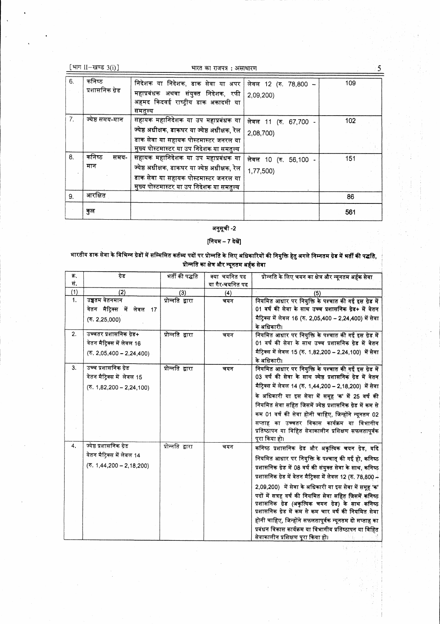|  |  |  |  | [ भाग II-खण्ड 3(i)] |  |
|--|--|--|--|---------------------|--|
|--|--|--|--|---------------------|--|

#### भारत का राजपत्र : असाधारण

 $6.$ कनिष्ठ निदेशक या निदेशक, डाक सेवा या अपर 109 लेवल 12 (रु. 78,800 -प्रशासनिक ग्रेड महाप्रबंधक अथवा संयुक्त निदेशक, रफी 2,09,200) अहमद किदवई राष्ट्रीय डाक अकादमी या समतुल्य  $\overline{7}$ . ज्येष्ठ समय-मान  $\overline{102}$ लेवल 11 (रु. 67,700 -ज्येष्ठ अधीक्षक, डाकघर या ज्येष्ठ अधीक्षक, रेल 2,08,700) डाक सेवा या सहायक पोस्टमास्टर जनरल या मुख्य पोस्टमास्टर या उप निदेशक या समतुल्य कनिष्ठ 8. समय-सहायक महानिदेशक या उप महाप्रबंधक या 151 लेवल 10 (रु. 56,100 -मान ज्येष्ठ अधीक्षक, डाकघर या ज्येष्ठ अधीक्षक, रेल 1,77,500) डाक सेवा या सहायक पोस्टमास्टर जनरल या मुख्य पोस्टमास्टर या उप निदेशक या समतुल्य आरक्षित 9.  $86$ कुल 561

## अनुसूची -2

## [नियम - 7 देखें]

भारतीय डाक सेवा के विभिन्न ग्रेडों में सम्मिलित कर्तव्य पदों पर प्रोन्नति के लिए अधिकारियों की नियुक्ति हेतु अगले निम्नतम ग्रेड में भर्ती की पद्धति, प्रोन्नति का क्षेत्र और न्यूनतम अर्हक सेवा

| क्र. | गेड                                            | भर्ती की पद्धति  | क्या चयनित पद   | प्रोन्नति के लिए चयन का क्षेत्र और न्यूनतम अर्हक सेवा                                                      |
|------|------------------------------------------------|------------------|-----------------|------------------------------------------------------------------------------------------------------------|
| सं.  |                                                |                  | या गैर-चयनित पद |                                                                                                            |
| (1)  | (2)                                            | (3)              | (4)             | (5)                                                                                                        |
| 1.   | उच्चतम वेतनमान                                 | प्रोन्नति द्वारा | चयन             | नियमित आधार पर नियुक्ति के पश्चात की गई इस ग्रेड में                                                       |
|      | वेतन मैट्रिक्स में लेवल 17                     |                  |                 | 01 वर्ष की सेवा के साथ उच्च प्रशासनिक ग्रेड+ में वेतन                                                      |
|      | (5.2, 25, 000)                                 |                  |                 | मैट्रिक्स में लेवल 16 (रु. 2,05,400 – 2,24,400) में सेवा                                                   |
|      |                                                |                  |                 | के अधिकारी।                                                                                                |
| 2.   | उच्चतर प्रशासनिक ग्रेड+                        | प्रोन्नति द्वारा | चयन             | नियमित आधार पर नियुक्ति के पश्चात की गई इस ग्रेड में                                                       |
|      | वेतन मैटिक्स में लेवल 16                       |                  |                 | 01 वर्ष की सेवा के साथ उच्च प्रशासनिक ग्रेड में वेतन                                                       |
|      | $(\overline{\mathbf{v}}. 2,05,400 - 2,24,400)$ |                  |                 | मैट्रिक्स में लेवल 15 (रु. 1,82,200 – 2,24,100) में सेवा                                                   |
|      |                                                |                  |                 | के अधिकारी।                                                                                                |
| 3.   | उच्च प्रशासनिक ग्रेड                           | प्रोन्नति द्वारा | चयन             | नियमित आधार पर नियुक्ति के पश्चात की गई इस ग्रेड में                                                       |
|      | वेतन मैट्रिक्स में लेवल 15                     |                  |                 | 03 वर्ष की सेवा के साथ ज्येष्ठ प्रशासनिक ग्रेड में वेतन                                                    |
|      | $(5. 1, 82, 200 - 2, 24, 100)$                 |                  |                 | मैट्रिक्स में लेवल 14 (रु. 1,44,200 – 2,18,200) में सेवा                                                   |
|      |                                                |                  |                 | के अधिकारी या इस सेवा में समूह 'क' में 25 वर्ष की                                                          |
|      |                                                |                  |                 | नियमित सेवा सहित जिसमें ज्येष्ठ प्रशासनिक ग्रेड में कम से                                                  |
|      |                                                |                  |                 | कम 01 वर्ष की सेवा होनी चाहिए, जिन्होंने न्यूनतम 02                                                        |
|      |                                                |                  |                 | सप्ताह का उच्चतर विकास कार्यक्रम या विभागीय                                                                |
|      |                                                |                  |                 | प्रतिष्ठापन या विहित सेवाकालीन प्रशिक्षण सफलतापूर्वक                                                       |
|      |                                                |                  |                 | पूरा किया हो।                                                                                              |
| 4.   | ज्येष्ठ प्रशासनिक ग्रेड                        | प्रोन्नति द्वारा | चयन             | कनिष्ठ प्रशासनिक ग्रेड और अकृत्यिक चयन ग्रेड, यदि                                                          |
|      | वेतन मैटिक्स में लेवल 14                       |                  |                 | नियमित आधार पर नियुक्ति के पश्चात् की गई हो, कनिष्ठ                                                        |
|      | $(5.1, 44, 200 - 2, 18, 200)$                  |                  |                 | प्रशासनिक ग्रेड में 08 वर्ष की संयुक्त सेवा के साथ, कनिष्ठ                                                 |
|      |                                                |                  |                 | प्रशासनिक ग्रेड में वेतन मैट्रिक्स में लेवल 12 (रु. 78,800 –                                               |
|      |                                                |                  |                 |                                                                                                            |
|      |                                                |                  |                 | 2,09,200) में सेवा के अधिकारी या इस सेवा में समूह 'क'                                                      |
|      |                                                |                  |                 | पदों में सत्रह वर्ष की नियमित सेवा सहित जिसमें कनिष्ठ                                                      |
|      |                                                |                  |                 | प्रशासनिक ग्रेड (अकृत्यिक चयन ग्रेड) के साथ कनिष्ठ<br>प्रशासनिक ग्रेड में कम से कम चार वर्ष की नियमित सेवा |
|      |                                                |                  |                 |                                                                                                            |
|      |                                                |                  |                 | होनी चाहिए, जिन्होंने सफलतापूर्वक न्यूनतम दो सप्ताह का                                                     |
|      |                                                |                  |                 | प्रबंधन विकास कार्यक्रम या विभागीय प्रतिष्ठापन या विहित<br>सेवाकालीन प्रशिक्षण परा किया हो।                |
|      |                                                |                  |                 |                                                                                                            |